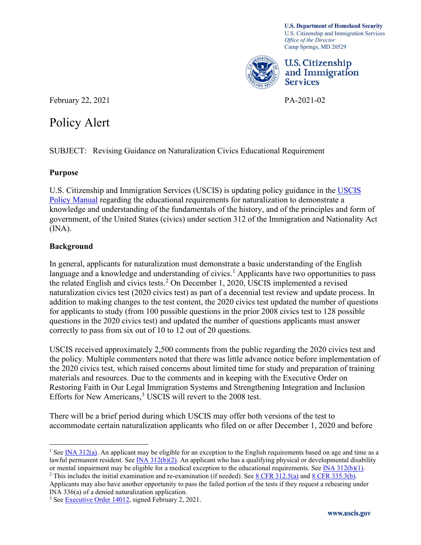**U.S. Department of Homeland Security**  U.S. Citizenship and Immigration Services *Office of the Director*  Camp Springs, MD 20529



U.S. Citizenship and Immigration Services

February 22, 2021 PA-2021-02

# Policy Alert

SUBJECT: Revising Guidance on Naturalization Civics Educational Requirement

## **Purpose**

U.S. Citizenship and Immigration Services (USCIS) is updating policy guidance in the [USCIS](https://www.uscis.gov/policy-manual)  [Policy Manual](https://www.uscis.gov/policy-manual) regarding the educational requirements for naturalization to demonstrate a knowledge and understanding of the fundamentals of the history, and of the principles and form of government, of the United States (civics) under section 312 of the Immigration and Nationality Act  $(INA).$ 

## **Background**

 naturalization civics test (2020 civics test) as part of a decennial test review and update process. In In general, applicants for naturalization must demonstrate a basic understanding of the English language and a knowledge and understanding of civics.<sup>[1](#page-0-0)</sup> Applicants have two opportunities to pass the related English and civics tests.<sup>[2](#page-0-1)</sup> On December 1, 2020, USCIS implemented a revised addition to making changes to the test content, the 2020 civics test updated the number of questions for applicants to study (from 100 possible questions in the prior 2008 civics test to 128 possible questions in the 2020 civics test) and updated the number of questions applicants must answer correctly to pass from six out of 10 to 12 out of 20 questions.

USCIS received approximately 2,500 comments from the public regarding the 2020 civics test and the policy. Multiple commenters noted that there was little advance notice before implementation of the 2020 civics test, which raised concerns about limited time for study and preparation of training materials and resources. Due to the comments and in keeping with the Executive Order on Restoring Faith in Our Legal Immigration Systems and Strengthening Integration and Inclusion Efforts for New Americans, [3](#page-0-2) USCIS will revert to the 2008 test.

There will be a brief period during which USCIS may offer both versions of the test to accommodate certain naturalization applicants who filed on or after December 1, 2020 and before

<span id="page-0-1"></span>Applicants may also have another opportunity to pass the failed portion of the tests if they request a rehearing under INA 336(a) of a denied naturalization application.

<span id="page-0-0"></span><sup>&</sup>lt;sup>1</sup> See **INA 312(a)**. An applicant may be eligible for an exception to the English requirements based on age and time as a lawful permanent resident. See  $\overline{INA}$  312(b)(2). An applicant who has a qualifying physical or developmental disability or mental impairment may be eligible for a medical exception to the educational requirements. See <sup>2</sup> This includes the initial examination and re-examination (if needed). See [8 CFR 312.5\(a\)](https://ecfr.gov/cgi-bin/text-idx?&node=se8.1.312_15) [a](https://www.uscis.gov/laws/8cfr)nd [8 CFR 335.3\(b\).](https://ecfr.gov/cgi-bin/text-idx?&node=se8.1.335_13)

<span id="page-0-2"></span><sup>&</sup>lt;sup>3</sup> Se[e Executive Order 14012,](https://www.govinfo.gov/content/pkg/FR-2021-02-05/pdf/2021-02563.pdf) signed February 2, 2021.